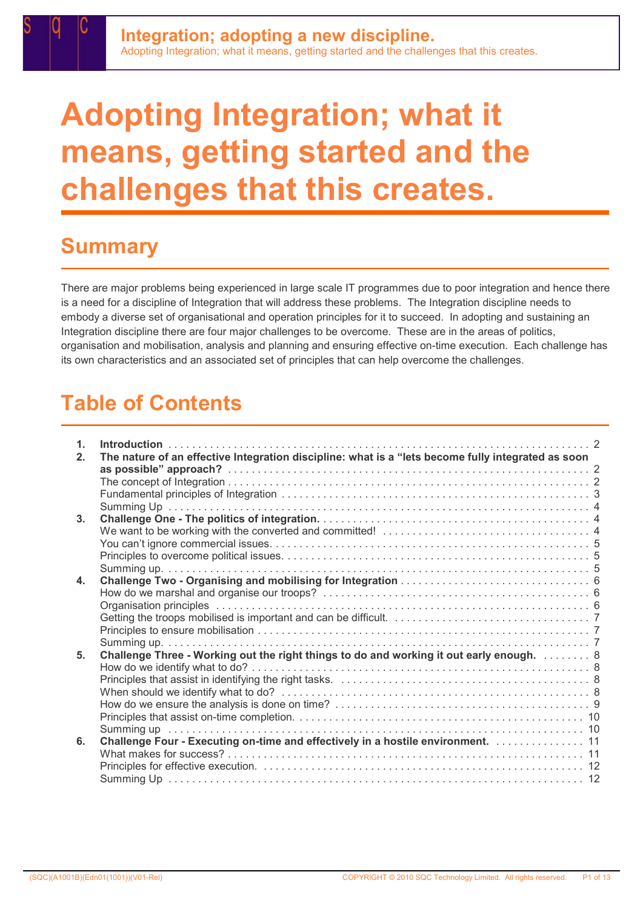# Adopting Integration; what it means, getting started and the challenges that this creates.

### **Summary**

There are major problems being experienced in large scale IT programmes due to poor integration and hence there is a need for a discipline of Integration that will address these problems. The Integration discipline needs to embody a diverse set of organisational and operation principles for it to succeed. In adopting and sustaining an Integration discipline there are four major challenges to be overcome. These are in the areas of politics, organisation and mobilisation, analysis and planning and ensuring effective on-time execution. Each challenge has its own characteristics and an associated set of principles that can help overcome the challenges.

# Table of Contents

| 1 <sub>1</sub><br>2 <sub>1</sub> | The nature of an effective Integration discipline: what is a "lets become fully integrated as soon |
|----------------------------------|----------------------------------------------------------------------------------------------------|
|                                  |                                                                                                    |
|                                  |                                                                                                    |
|                                  |                                                                                                    |
|                                  |                                                                                                    |
| 3 <sub>1</sub>                   |                                                                                                    |
|                                  |                                                                                                    |
|                                  |                                                                                                    |
|                                  |                                                                                                    |
|                                  |                                                                                                    |
| 4.                               |                                                                                                    |
|                                  |                                                                                                    |
|                                  |                                                                                                    |
|                                  |                                                                                                    |
|                                  |                                                                                                    |
| 5.                               | Challenge Three - Working out the right things to do and working it out early enough. 8            |
|                                  |                                                                                                    |
|                                  |                                                                                                    |
|                                  |                                                                                                    |
|                                  |                                                                                                    |
|                                  |                                                                                                    |
|                                  |                                                                                                    |
| 6.                               | Challenge Four - Executing on-time and effectively in a hostile environment. 11                    |
|                                  |                                                                                                    |
|                                  |                                                                                                    |
|                                  |                                                                                                    |
|                                  |                                                                                                    |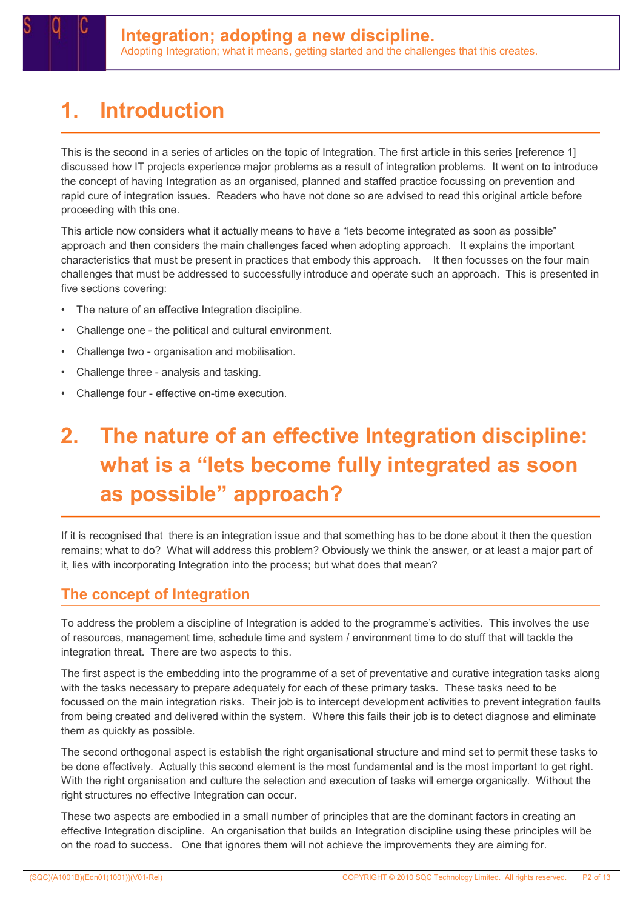# 1. Introduction

This is the second in a series of articles on the topic of Integration. The first article in this series [reference 1] discussed how IT projects experience major problems as a result of integration problems. It went on to introduce the concept of having Integration as an organised, planned and staffed practice focussing on prevention and rapid cure of integration issues. Readers who have not done so are advised to read this original article before proceeding with this one.

This article now considers what it actually means to have a "lets become integrated as soon as possible" approach and then considers the main challenges faced when adopting approach. It explains the important characteristics that must be present in practices that embody this approach. It then focusses on the four main challenges that must be addressed to successfully introduce and operate such an approach. This is presented in five sections covering:

- The nature of an effective Integration discipline.
- Challenge one the political and cultural environment.
- Challenge two organisation and mobilisation.
- Challenge three analysis and tasking.
- Challenge four effective on-time execution.

# 2. The nature of an effective Integration discipline: what is a "lets become fully integrated as soon as possible" approach?

If it is recognised that there is an integration issue and that something has to be done about it then the question remains; what to do? What will address this problem? Obviously we think the answer, or at least a major part of it, lies with incorporating Integration into the process; but what does that mean?

### The concept of Integration

To address the problem a discipline of Integration is added to the programme's activities. This involves the use of resources, management time, schedule time and system / environment time to do stuff that will tackle the integration threat. There are two aspects to this.

The first aspect is the embedding into the programme of a set of preventative and curative integration tasks along with the tasks necessary to prepare adequately for each of these primary tasks. These tasks need to be focussed on the main integration risks. Their job is to intercept development activities to prevent integration faults from being created and delivered within the system. Where this fails their job is to detect diagnose and eliminate them as quickly as possible.

The second orthogonal aspect is establish the right organisational structure and mind set to permit these tasks to be done effectively. Actually this second element is the most fundamental and is the most important to get right. With the right organisation and culture the selection and execution of tasks will emerge organically. Without the right structures no effective Integration can occur.

These two aspects are embodied in a small number of principles that are the dominant factors in creating an effective Integration discipline. An organisation that builds an Integration discipline using these principles will be on the road to success. One that ignores them will not achieve the improvements they are aiming for.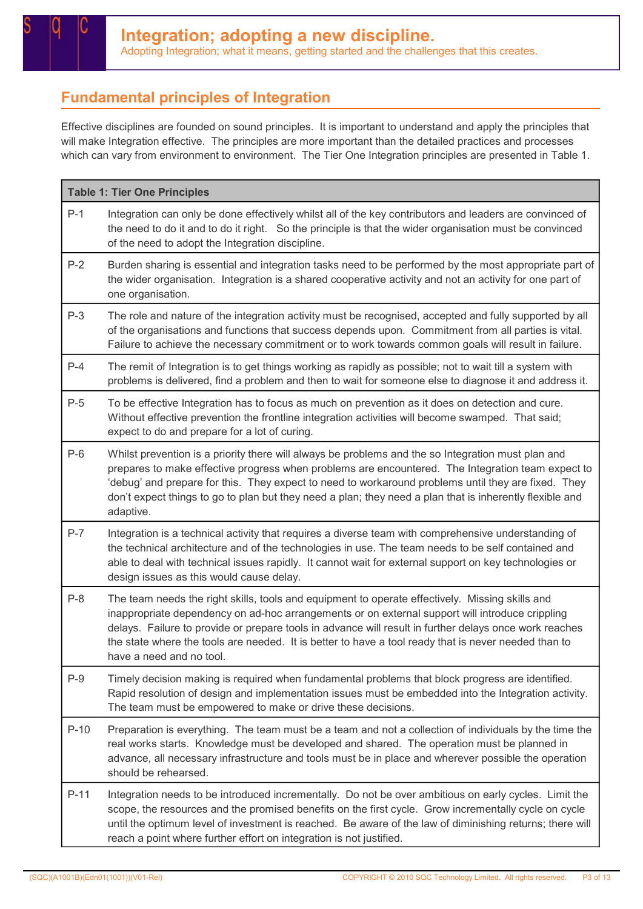### Fundamental principles of Integration

Effective disciplines are founded on sound principles. It is important to understand and apply the principles that will make Integration effective. The principles are more important than the detailed practices and processes which can vary from environment to environment. The Tier One Integration principles are presented in Table 1.

| <b>Table 1: Tier One Principles</b> |                                                                                                                                                                                                                                                                                                                                                                                                                                                  |  |  |
|-------------------------------------|--------------------------------------------------------------------------------------------------------------------------------------------------------------------------------------------------------------------------------------------------------------------------------------------------------------------------------------------------------------------------------------------------------------------------------------------------|--|--|
| $P-1$                               | Integration can only be done effectively whilst all of the key contributors and leaders are convinced of<br>the need to do it and to do it right. So the principle is that the wider organisation must be convinced<br>of the need to adopt the Integration discipline.                                                                                                                                                                          |  |  |
| $P-2$                               | Burden sharing is essential and integration tasks need to be performed by the most appropriate part of<br>the wider organisation. Integration is a shared cooperative activity and not an activity for one part of<br>one organisation.                                                                                                                                                                                                          |  |  |
| $P-3$                               | The role and nature of the integration activity must be recognised, accepted and fully supported by all<br>of the organisations and functions that success depends upon. Commitment from all parties is vital.<br>Failure to achieve the necessary commitment or to work towards common goals will result in failure.                                                                                                                            |  |  |
| $P-4$                               | The remit of Integration is to get things working as rapidly as possible; not to wait till a system with<br>problems is delivered, find a problem and then to wait for someone else to diagnose it and address it.                                                                                                                                                                                                                               |  |  |
| $P-5$                               | To be effective Integration has to focus as much on prevention as it does on detection and cure.<br>Without effective prevention the frontline integration activities will become swamped. That said;<br>expect to do and prepare for a lot of curing.                                                                                                                                                                                           |  |  |
| $P-6$                               | Whilst prevention is a priority there will always be problems and the so Integration must plan and<br>prepares to make effective progress when problems are encountered. The Integration team expect to<br>'debug' and prepare for this. They expect to need to workaround problems until they are fixed. They<br>don't expect things to go to plan but they need a plan; they need a plan that is inherently flexible and<br>adaptive.          |  |  |
| $P-7$                               | Integration is a technical activity that requires a diverse team with comprehensive understanding of<br>the technical architecture and of the technologies in use. The team needs to be self contained and<br>able to deal with technical issues rapidly. It cannot wait for external support on key technologies or<br>design issues as this would cause delay.                                                                                 |  |  |
| $P-8$                               | The team needs the right skills, tools and equipment to operate effectively. Missing skills and<br>inappropriate dependency on ad-hoc arrangements or on external support will introduce crippling<br>delays. Failure to provide or prepare tools in advance will result in further delays once work reaches<br>the state where the tools are needed. It is better to have a tool ready that is never needed than to<br>have a need and no tool. |  |  |
| $P-9$                               | Timely decision making is required when fundamental problems that block progress are identified.<br>Rapid resolution of design and implementation issues must be embedded into the Integration activity.<br>The team must be empowered to make or drive these decisions.                                                                                                                                                                         |  |  |
| $P-10$                              | Preparation is everything. The team must be a team and not a collection of individuals by the time the<br>real works starts. Knowledge must be developed and shared. The operation must be planned in<br>advance, all necessary infrastructure and tools must be in place and wherever possible the operation<br>should be rehearsed.                                                                                                            |  |  |
| $P-11$                              | Integration needs to be introduced incrementally. Do not be over ambitious on early cycles. Limit the<br>scope, the resources and the promised benefits on the first cycle. Grow incrementally cycle on cycle<br>until the optimum level of investment is reached. Be aware of the law of diminishing returns; there will<br>reach a point where further effort on integration is not justified.                                                 |  |  |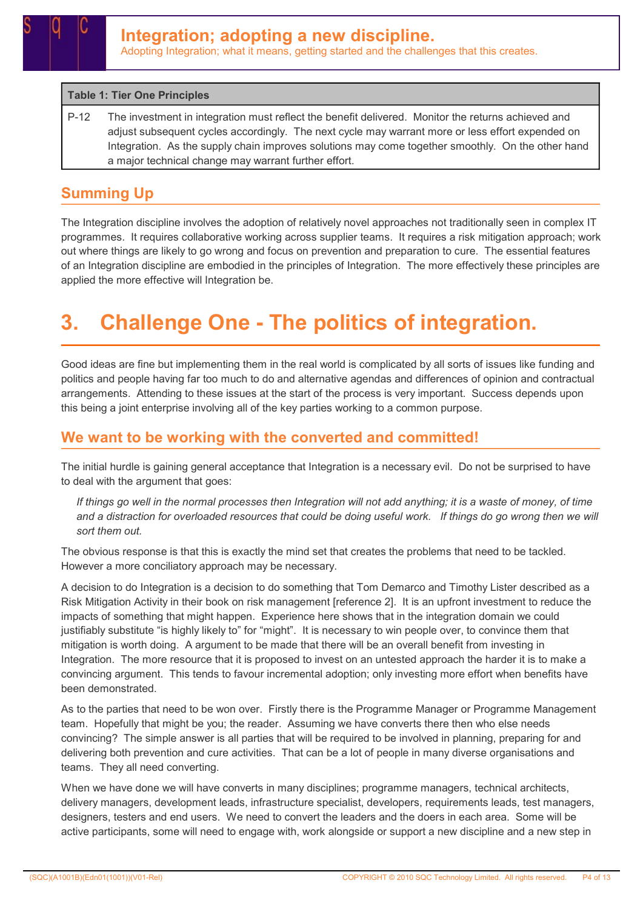#### Table 1: Tier One Principles

P-12 The investment in integration must reflect the benefit delivered. Monitor the returns achieved and adjust subsequent cycles accordingly. The next cycle may warrant more or less effort expended on Integration. As the supply chain improves solutions may come together smoothly. On the other hand a major technical change may warrant further effort.

#### Summing Up

The Integration discipline involves the adoption of relatively novel approaches not traditionally seen in complex IT programmes. It requires collaborative working across supplier teams. It requires a risk mitigation approach; work out where things are likely to go wrong and focus on prevention and preparation to cure. The essential features of an Integration discipline are embodied in the principles of Integration. The more effectively these principles are applied the more effective will Integration be.

# 3. Challenge One - The politics of integration.

Good ideas are fine but implementing them in the real world is complicated by all sorts of issues like funding and politics and people having far too much to do and alternative agendas and differences of opinion and contractual arrangements. Attending to these issues at the start of the process is very important. Success depends upon this being a joint enterprise involving all of the key parties working to a common purpose.

#### We want to be working with the converted and committed!

The initial hurdle is gaining general acceptance that Integration is a necessary evil. Do not be surprised to have to deal with the argument that goes:

If things go well in the normal processes then Integration will not add anything; it is a waste of money, of time and a distraction for overloaded resources that could be doing useful work. If things do go wrong then we will sort them out.

The obvious response is that this is exactly the mind set that creates the problems that need to be tackled. However a more conciliatory approach may be necessary.

A decision to do Integration is a decision to do something that Tom Demarco and Timothy Lister described as a Risk Mitigation Activity in their book on risk management [reference 2]. It is an upfront investment to reduce the impacts of something that might happen. Experience here shows that in the integration domain we could justifiably substitute "is highly likely to" for "might". It is necessary to win people over, to convince them that mitigation is worth doing. A argument to be made that there will be an overall benefit from investing in Integration. The more resource that it is proposed to invest on an untested approach the harder it is to make a convincing argument. This tends to favour incremental adoption; only investing more effort when benefits have been demonstrated.

As to the parties that need to be won over. Firstly there is the Programme Manager or Programme Management team. Hopefully that might be you; the reader. Assuming we have converts there then who else needs convincing? The simple answer is all parties that will be required to be involved in planning, preparing for and delivering both prevention and cure activities. That can be a lot of people in many diverse organisations and teams. They all need converting.

When we have done we will have converts in many disciplines; programme managers, technical architects, delivery managers, development leads, infrastructure specialist, developers, requirements leads, test managers, designers, testers and end users. We need to convert the leaders and the doers in each area. Some will be active participants, some will need to engage with, work alongside or support a new discipline and a new step in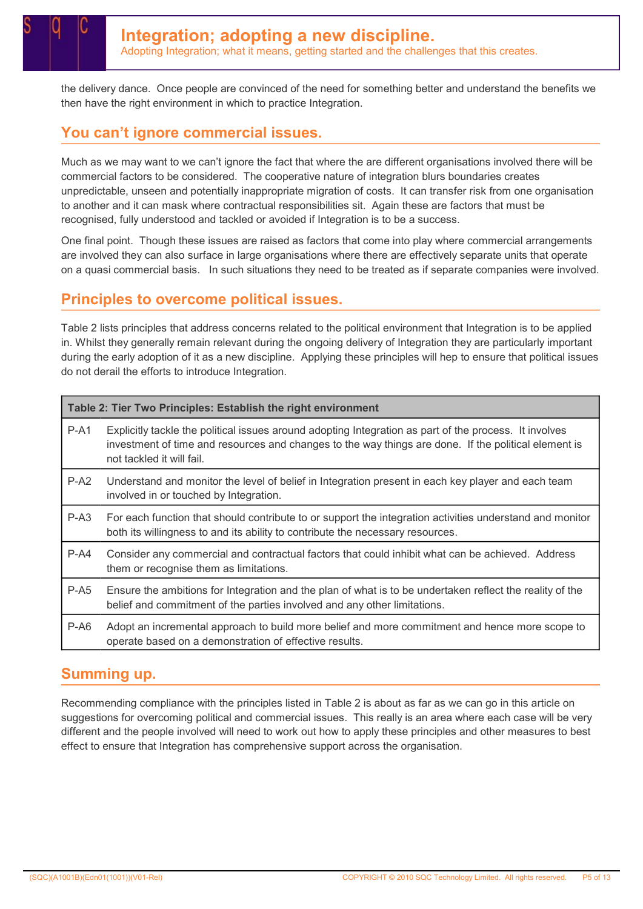the delivery dance. Once people are convinced of the need for something better and understand the benefits we then have the right environment in which to practice Integration.

### You can't ignore commercial issues.

Much as we may want to we can't ignore the fact that where the are different organisations involved there will be commercial factors to be considered. The cooperative nature of integration blurs boundaries creates unpredictable, unseen and potentially inappropriate migration of costs. It can transfer risk from one organisation to another and it can mask where contractual responsibilities sit. Again these are factors that must be recognised, fully understood and tackled or avoided if Integration is to be a success.

One final point. Though these issues are raised as factors that come into play where commercial arrangements are involved they can also surface in large organisations where there are effectively separate units that operate on a quasi commercial basis. In such situations they need to be treated as if separate companies were involved.

#### Principles to overcome political issues.

Table 2 lists principles that address concerns related to the political environment that Integration is to be applied in. Whilst they generally remain relevant during the ongoing delivery of Integration they are particularly important during the early adoption of it as a new discipline. Applying these principles will hep to ensure that political issues do not derail the efforts to introduce Integration.

| Table 2: Tier Two Principles: Establish the right environment |                                                                                                                                                                                                                                             |  |
|---------------------------------------------------------------|---------------------------------------------------------------------------------------------------------------------------------------------------------------------------------------------------------------------------------------------|--|
| P-A1                                                          | Explicitly tackle the political issues around adopting Integration as part of the process. It involves<br>investment of time and resources and changes to the way things are done. If the political element is<br>not tackled it will fail. |  |
| $P-A2$                                                        | Understand and monitor the level of belief in Integration present in each key player and each team<br>involved in or touched by Integration.                                                                                                |  |
| $P- A3$                                                       | For each function that should contribute to or support the integration activities understand and monitor<br>both its willingness to and its ability to contribute the necessary resources.                                                  |  |
| $P-A4$                                                        | Consider any commercial and contractual factors that could inhibit what can be achieved. Address<br>them or recognise them as limitations.                                                                                                  |  |
| $P-AS$                                                        | Ensure the ambitions for Integration and the plan of what is to be undertaken reflect the reality of the<br>belief and commitment of the parties involved and any other limitations.                                                        |  |
| $P-AG$                                                        | Adopt an incremental approach to build more belief and more commitment and hence more scope to<br>operate based on a demonstration of effective results.                                                                                    |  |

#### Summing up.

Recommending compliance with the principles listed in Table 2 is about as far as we can go in this article on suggestions for overcoming political and commercial issues. This really is an area where each case will be very different and the people involved will need to work out how to apply these principles and other measures to best effect to ensure that Integration has comprehensive support across the organisation.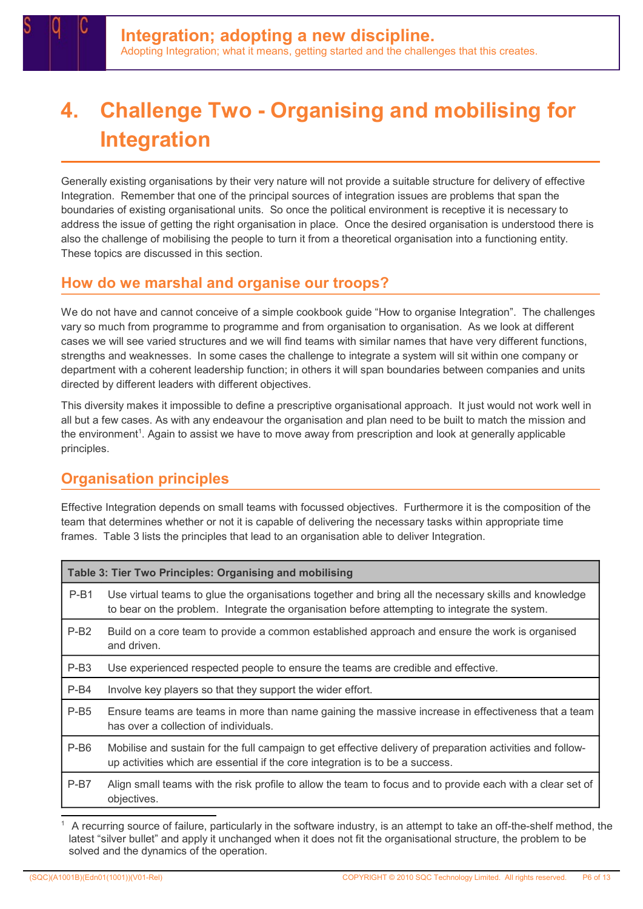# 4. Challenge Two - Organising and mobilising for Integration

Generally existing organisations by their very nature will not provide a suitable structure for delivery of effective Integration. Remember that one of the principal sources of integration issues are problems that span the boundaries of existing organisational units. So once the political environment is receptive it is necessary to address the issue of getting the right organisation in place. Once the desired organisation is understood there is also the challenge of mobilising the people to turn it from a theoretical organisation into a functioning entity. These topics are discussed in this section.

#### How do we marshal and organise our troops?

We do not have and cannot conceive of a simple cookbook guide "How to organise Integration". The challenges vary so much from programme to programme and from organisation to organisation. As we look at different cases we will see varied structures and we will find teams with similar names that have very different functions, strengths and weaknesses. In some cases the challenge to integrate a system will sit within one company or department with a coherent leadership function; in others it will span boundaries between companies and units directed by different leaders with different objectives.

This diversity makes it impossible to define a prescriptive organisational approach. It just would not work well in all but a few cases. As with any endeavour the organisation and plan need to be built to match the mission and the environment<sup>1</sup>. Again to assist we have to move away from prescription and look at generally applicable principles.

### Organisation principles

Effective Integration depends on small teams with focussed objectives. Furthermore it is the composition of the team that determines whether or not it is capable of delivering the necessary tasks within appropriate time frames. Table 3 lists the principles that lead to an organisation able to deliver Integration.

| Table 3: Tier Two Principles: Organising and mobilising |                                                                                                                                                                                                        |  |
|---------------------------------------------------------|--------------------------------------------------------------------------------------------------------------------------------------------------------------------------------------------------------|--|
| $P-B1$                                                  | Use virtual teams to glue the organisations together and bring all the necessary skills and knowledge<br>to bear on the problem. Integrate the organisation before attempting to integrate the system. |  |
| $P-B2$                                                  | Build on a core team to provide a common established approach and ensure the work is organised<br>and driven.                                                                                          |  |
| $P-B3$                                                  | Use experienced respected people to ensure the teams are credible and effective.                                                                                                                       |  |
| $P-B4$                                                  | Involve key players so that they support the wider effort.                                                                                                                                             |  |
| $P-B5$                                                  | Ensure teams are teams in more than name gaining the massive increase in effectiveness that a team<br>has over a collection of individuals.                                                            |  |
| P-B <sub>6</sub>                                        | Mobilise and sustain for the full campaign to get effective delivery of preparation activities and follow-<br>up activities which are essential if the core integration is to be a success.            |  |
| $P-B7$                                                  | Align small teams with the risk profile to allow the team to focus and to provide each with a clear set of<br>objectives.                                                                              |  |

1 A recurring source of failure, particularly in the software industry, is an attempt to take an off-the-shelf method, the latest "silver bullet" and apply it unchanged when it does not fit the organisational structure, the problem to be solved and the dynamics of the operation.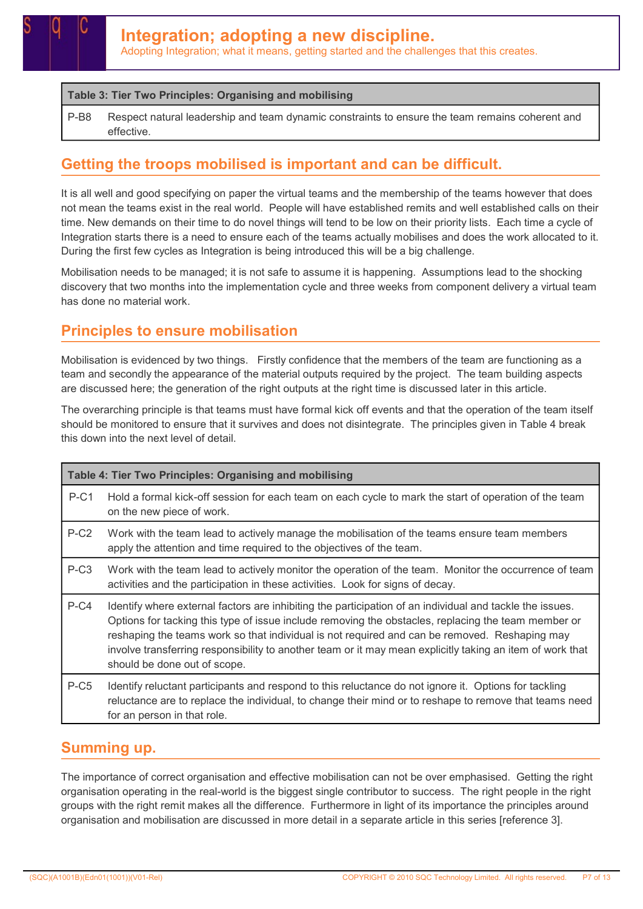#### Table 3: Tier Two Principles: Organising and mobilising

P-B8 Respect natural leadership and team dynamic constraints to ensure the team remains coherent and effective.

#### Getting the troops mobilised is important and can be difficult.

It is all well and good specifying on paper the virtual teams and the membership of the teams however that does not mean the teams exist in the real world. People will have established remits and well established calls on their time. New demands on their time to do novel things will tend to be low on their priority lists. Each time a cycle of Integration starts there is a need to ensure each of the teams actually mobilises and does the work allocated to it. During the first few cycles as Integration is being introduced this will be a big challenge.

Mobilisation needs to be managed; it is not safe to assume it is happening. Assumptions lead to the shocking discovery that two months into the implementation cycle and three weeks from component delivery a virtual team has done no material work.

#### Principles to ensure mobilisation

Mobilisation is evidenced by two things. Firstly confidence that the members of the team are functioning as a team and secondly the appearance of the material outputs required by the project. The team building aspects are discussed here; the generation of the right outputs at the right time is discussed later in this article.

The overarching principle is that teams must have formal kick off events and that the operation of the team itself should be monitored to ensure that it survives and does not disintegrate. The principles given in Table 4 break this down into the next level of detail.

| Table 4: Tier Two Principles: Organising and mobilising                                                                                                                                                                                                                                                                                                                                                                                                                 |                                                                                                                                                                                                                                                |  |
|-------------------------------------------------------------------------------------------------------------------------------------------------------------------------------------------------------------------------------------------------------------------------------------------------------------------------------------------------------------------------------------------------------------------------------------------------------------------------|------------------------------------------------------------------------------------------------------------------------------------------------------------------------------------------------------------------------------------------------|--|
| $P-C1$                                                                                                                                                                                                                                                                                                                                                                                                                                                                  | Hold a formal kick-off session for each team on each cycle to mark the start of operation of the team<br>on the new piece of work.                                                                                                             |  |
| $P-C2$                                                                                                                                                                                                                                                                                                                                                                                                                                                                  | Work with the team lead to actively manage the mobilisation of the teams ensure team members<br>apply the attention and time required to the objectives of the team.                                                                           |  |
| $P-C3$<br>Work with the team lead to actively monitor the operation of the team. Monitor the occurrence of team<br>activities and the participation in these activities. Look for signs of decay.                                                                                                                                                                                                                                                                       |                                                                                                                                                                                                                                                |  |
| $P-C4$<br>Identify where external factors are inhibiting the participation of an individual and tackle the issues.<br>Options for tacking this type of issue include removing the obstacles, replacing the team member or<br>reshaping the teams work so that individual is not required and can be removed. Reshaping may<br>involve transferring responsibility to another team or it may mean explicitly taking an item of work that<br>should be done out of scope. |                                                                                                                                                                                                                                                |  |
| $P-C5$                                                                                                                                                                                                                                                                                                                                                                                                                                                                  | Identify reluctant participants and respond to this reluctance do not ignore it. Options for tackling<br>reluctance are to replace the individual, to change their mind or to reshape to remove that teams need<br>for an person in that role. |  |

#### Summing up.

The importance of correct organisation and effective mobilisation can not be over emphasised. Getting the right organisation operating in the real-world is the biggest single contributor to success. The right people in the right groups with the right remit makes all the difference. Furthermore in light of its importance the principles around organisation and mobilisation are discussed in more detail in a separate article in this series [reference 3].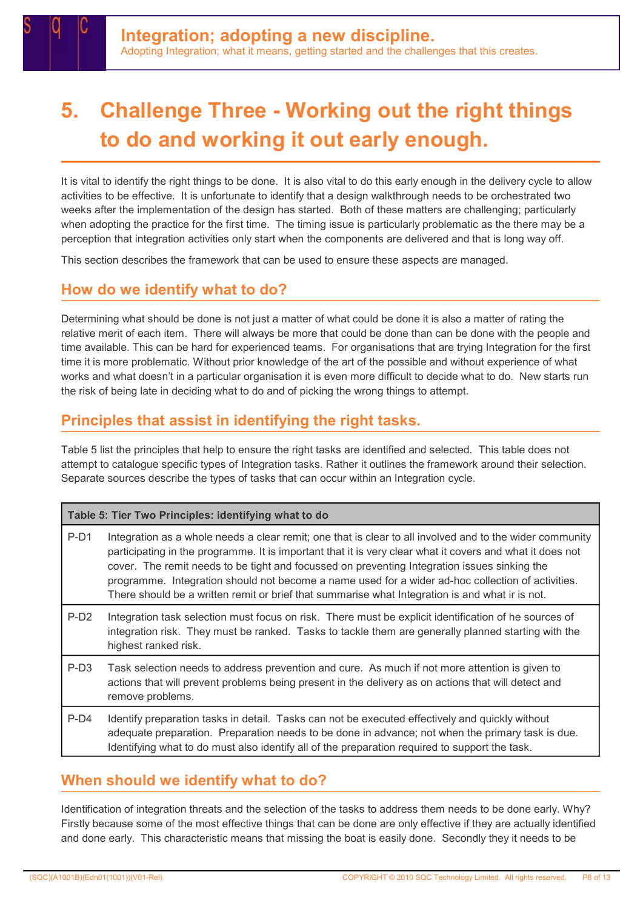

# 5. Challenge Three - Working out the right things to do and working it out early enough.

It is vital to identify the right things to be done. It is also vital to do this early enough in the delivery cycle to allow activities to be effective. It is unfortunate to identify that a design walkthrough needs to be orchestrated two weeks after the implementation of the design has started. Both of these matters are challenging; particularly when adopting the practice for the first time. The timing issue is particularly problematic as the there may be a perception that integration activities only start when the components are delivered and that is long way off.

This section describes the framework that can be used to ensure these aspects are managed.

#### How do we identify what to do?

Determining what should be done is not just a matter of what could be done it is also a matter of rating the relative merit of each item. There will always be more that could be done than can be done with the people and time available. This can be hard for experienced teams. For organisations that are trying Integration for the first time it is more problematic. Without prior knowledge of the art of the possible and without experience of what works and what doesn't in a particular organisation it is even more difficult to decide what to do. New starts run the risk of being late in deciding what to do and of picking the wrong things to attempt.

#### Principles that assist in identifying the right tasks.

Table 5 list the principles that help to ensure the right tasks are identified and selected. This table does not attempt to catalogue specific types of Integration tasks. Rather it outlines the framework around their selection. Separate sources describe the types of tasks that can occur within an Integration cycle.

| Table 5: Tier Two Principles: Identifying what to do |                                                                                                                                                                                                                                                                                                                                                                                                                                                                                                                               |  |  |
|------------------------------------------------------|-------------------------------------------------------------------------------------------------------------------------------------------------------------------------------------------------------------------------------------------------------------------------------------------------------------------------------------------------------------------------------------------------------------------------------------------------------------------------------------------------------------------------------|--|--|
| $P-D1$                                               | Integration as a whole needs a clear remit; one that is clear to all involved and to the wider community<br>participating in the programme. It is important that it is very clear what it covers and what it does not<br>cover. The remit needs to be tight and focussed on preventing Integration issues sinking the<br>programme. Integration should not become a name used for a wider ad-hoc collection of activities.<br>There should be a written remit or brief that summarise what Integration is and what ir is not. |  |  |
| $P-D2$                                               | Integration task selection must focus on risk. There must be explicit identification of he sources of<br>integration risk. They must be ranked. Tasks to tackle them are generally planned starting with the<br>highest ranked risk.                                                                                                                                                                                                                                                                                          |  |  |
| P-D <sub>3</sub>                                     | Task selection needs to address prevention and cure. As much if not more attention is given to<br>actions that will prevent problems being present in the delivery as on actions that will detect and<br>remove problems.                                                                                                                                                                                                                                                                                                     |  |  |
| $P-D4$                                               | Identify preparation tasks in detail. Tasks can not be executed effectively and quickly without<br>adequate preparation. Preparation needs to be done in advance; not when the primary task is due.<br>Identifying what to do must also identify all of the preparation required to support the task.                                                                                                                                                                                                                         |  |  |

#### When should we identify what to do?

Identification of integration threats and the selection of the tasks to address them needs to be done early. Why? Firstly because some of the most effective things that can be done are only effective if they are actually identified and done early. This characteristic means that missing the boat is easily done. Secondly they it needs to be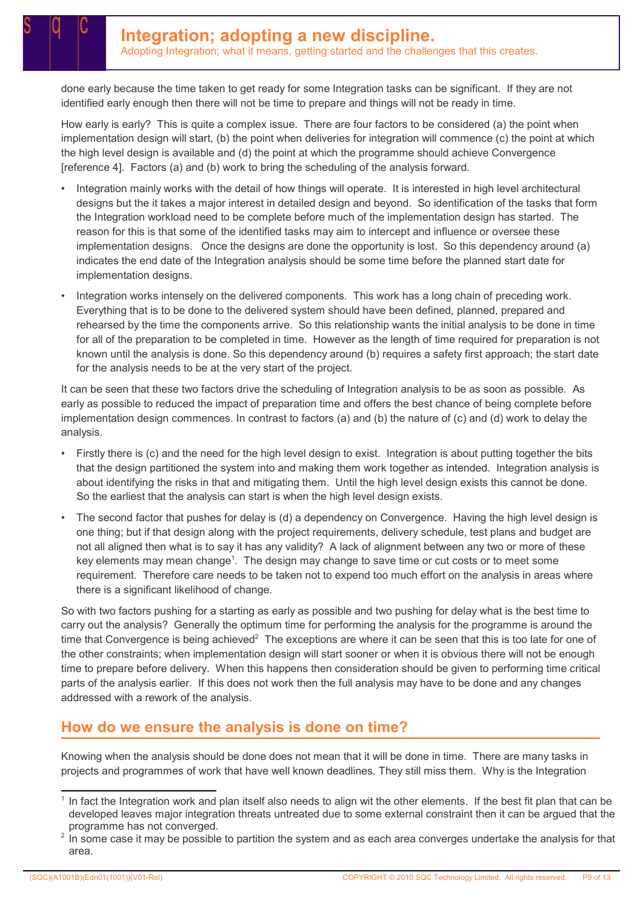done early because the time taken to get ready for some Integration tasks can be significant. If they are not identified early enough then there will not be time to prepare and things will not be ready in time.

How early is early? This is quite a complex issue. There are four factors to be considered (a) the point when implementation design will start, (b) the point when deliveries for integration will commence (c) the point at which the high level design is available and (d) the point at which the programme should achieve Convergence [reference 4]. Factors (a) and (b) work to bring the scheduling of the analysis forward.

- Integration mainly works with the detail of how things will operate. It is interested in high level architectural designs but the it takes a major interest in detailed design and beyond. So identification of the tasks that form the Integration workload need to be complete before much of the implementation design has started. The reason for this is that some of the identified tasks may aim to intercept and influence or oversee these implementation designs. Once the designs are done the opportunity is lost. So this dependency around (a) indicates the end date of the Integration analysis should be some time before the planned start date for implementation designs.
- Integration works intensely on the delivered components. This work has a long chain of preceding work. Everything that is to be done to the delivered system should have been defined, planned, prepared and rehearsed by the time the components arrive. So this relationship wants the initial analysis to be done in time for all of the preparation to be completed in time. However as the length of time required for preparation is not known until the analysis is done. So this dependency around (b) requires a safety first approach; the start date for the analysis needs to be at the very start of the project.

It can be seen that these two factors drive the scheduling of Integration analysis to be as soon as possible. As early as possible to reduced the impact of preparation time and offers the best chance of being complete before implementation design commences. In contrast to factors (a) and (b) the nature of (c) and (d) work to delay the analysis.

- Firstly there is (c) and the need for the high level design to exist. Integration is about putting together the bits that the design partitioned the system into and making them work together as intended. Integration analysis is about identifying the risks in that and mitigating them. Until the high level design exists this cannot be done. So the earliest that the analysis can start is when the high level design exists.
- The second factor that pushes for delay is (d) a dependency on Convergence. Having the high level design is one thing; but if that design along with the project requirements, delivery schedule, test plans and budget are not all aligned then what is to say it has any validity? A lack of alignment between any two or more of these key elements may mean change<sup>1</sup>. The design may change to save time or cut costs or to meet some requirement. Therefore care needs to be taken not to expend too much effort on the analysis in areas where there is a significant likelihood of change.

So with two factors pushing for a starting as early as possible and two pushing for delay what is the best time to carry out the analysis? Generally the optimum time for performing the analysis for the programme is around the time that Convergence is being achieved<sup>2</sup> The exceptions are where it can be seen that this is too late for one of the other constraints; when implementation design will start sooner or when it is obvious there will not be enough time to prepare before delivery. When this happens then consideration should be given to performing time critical parts of the analysis earlier. If this does not work then the full analysis may have to be done and any changes addressed with a rework of the analysis.

#### How do we ensure the analysis is done on time?

Knowing when the analysis should be done does not mean that it will be done in time. There are many tasks in projects and programmes of work that have well known deadlines. They still miss them. Why is the Integration

<sup>1</sup> In fact the Integration work and plan itself also needs to align wit the other elements. If the best fit plan that can be developed leaves major integration threats untreated due to some external constraint then it can be argued that the programme has not converged.

 $2$  In some case it may be possible to partition the system and as each area converges undertake the analysis for that area.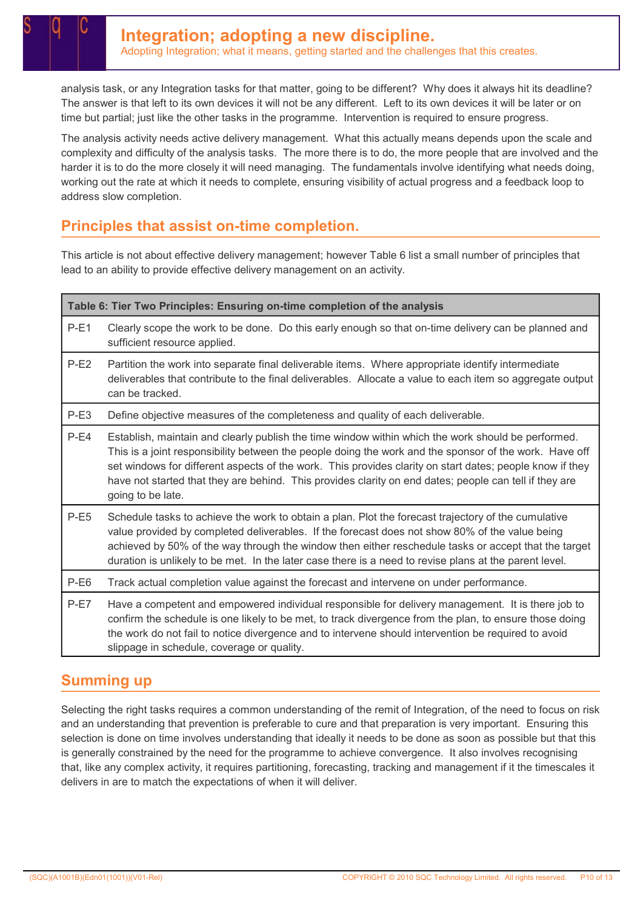analysis task, or any Integration tasks for that matter, going to be different? Why does it always hit its deadline? The answer is that left to its own devices it will not be any different. Left to its own devices it will be later or on time but partial; just like the other tasks in the programme. Intervention is required to ensure progress.

The analysis activity needs active delivery management. What this actually means depends upon the scale and complexity and difficulty of the analysis tasks. The more there is to do, the more people that are involved and the harder it is to do the more closely it will need managing. The fundamentals involve identifying what needs doing, working out the rate at which it needs to complete, ensuring visibility of actual progress and a feedback loop to address slow completion.

### Principles that assist on-time completion.

This article is not about effective delivery management; however Table 6 list a small number of principles that lead to an ability to provide effective delivery management on an activity.

| Table 6: Tier Two Principles: Ensuring on-time completion of the analysis                                                                                                                                                                                                                                                                                                                                                                                                                                                                                     |                                                                                                                                                                                                                                                                                                                                                                  |                                                                                                                                                                                                                                                                                                                                                                                                                                   |
|---------------------------------------------------------------------------------------------------------------------------------------------------------------------------------------------------------------------------------------------------------------------------------------------------------------------------------------------------------------------------------------------------------------------------------------------------------------------------------------------------------------------------------------------------------------|------------------------------------------------------------------------------------------------------------------------------------------------------------------------------------------------------------------------------------------------------------------------------------------------------------------------------------------------------------------|-----------------------------------------------------------------------------------------------------------------------------------------------------------------------------------------------------------------------------------------------------------------------------------------------------------------------------------------------------------------------------------------------------------------------------------|
| $P-E1$                                                                                                                                                                                                                                                                                                                                                                                                                                                                                                                                                        | Clearly scope the work to be done. Do this early enough so that on-time delivery can be planned and<br>sufficient resource applied.                                                                                                                                                                                                                              |                                                                                                                                                                                                                                                                                                                                                                                                                                   |
| $P-E2$<br>Partition the work into separate final deliverable items. Where appropriate identify intermediate<br>deliverables that contribute to the final deliverables. Allocate a value to each item so aggregate output<br>can be tracked.                                                                                                                                                                                                                                                                                                                   |                                                                                                                                                                                                                                                                                                                                                                  |                                                                                                                                                                                                                                                                                                                                                                                                                                   |
| $P-E3$<br>Define objective measures of the completeness and quality of each deliverable.<br>$P-E4$<br>Establish, maintain and clearly publish the time window within which the work should be performed.<br>This is a joint responsibility between the people doing the work and the sponsor of the work. Have off<br>set windows for different aspects of the work. This provides clarity on start dates; people know if they<br>have not started that they are behind. This provides clarity on end dates; people can tell if they are<br>going to be late. |                                                                                                                                                                                                                                                                                                                                                                  |                                                                                                                                                                                                                                                                                                                                                                                                                                   |
|                                                                                                                                                                                                                                                                                                                                                                                                                                                                                                                                                               |                                                                                                                                                                                                                                                                                                                                                                  | $P-E5$<br>Schedule tasks to achieve the work to obtain a plan. Plot the forecast trajectory of the cumulative<br>value provided by completed deliverables. If the forecast does not show 80% of the value being<br>achieved by 50% of the way through the window then either reschedule tasks or accept that the target<br>duration is unlikely to be met. In the later case there is a need to revise plans at the parent level. |
| $P-E6$<br>Track actual completion value against the forecast and intervene on under performance.                                                                                                                                                                                                                                                                                                                                                                                                                                                              |                                                                                                                                                                                                                                                                                                                                                                  |                                                                                                                                                                                                                                                                                                                                                                                                                                   |
| $P-E7$                                                                                                                                                                                                                                                                                                                                                                                                                                                                                                                                                        | Have a competent and empowered individual responsible for delivery management. It is there job to<br>confirm the schedule is one likely to be met, to track divergence from the plan, to ensure those doing<br>the work do not fail to notice divergence and to intervene should intervention be required to avoid<br>slippage in schedule, coverage or quality. |                                                                                                                                                                                                                                                                                                                                                                                                                                   |

#### Summing up

Selecting the right tasks requires a common understanding of the remit of Integration, of the need to focus on risk and an understanding that prevention is preferable to cure and that preparation is very important. Ensuring this selection is done on time involves understanding that ideally it needs to be done as soon as possible but that this is generally constrained by the need for the programme to achieve convergence. It also involves recognising that, like any complex activity, it requires partitioning, forecasting, tracking and management if it the timescales it delivers in are to match the expectations of when it will deliver.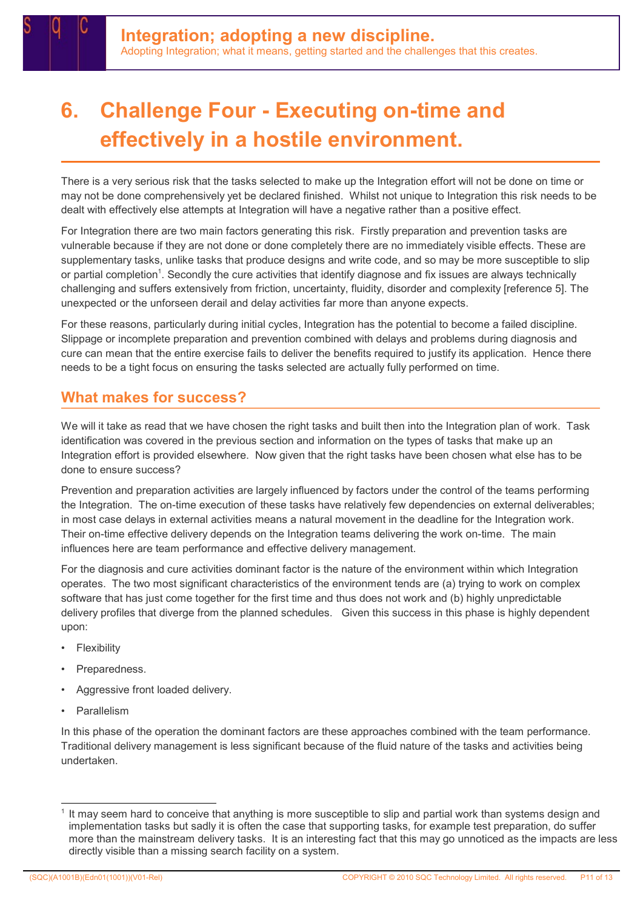# 6. Challenge Four - Executing on-time and effectively in a hostile environment.

There is a very serious risk that the tasks selected to make up the Integration effort will not be done on time or may not be done comprehensively yet be declared finished. Whilst not unique to Integration this risk needs to be dealt with effectively else attempts at Integration will have a negative rather than a positive effect.

For Integration there are two main factors generating this risk. Firstly preparation and prevention tasks are vulnerable because if they are not done or done completely there are no immediately visible effects. These are supplementary tasks, unlike tasks that produce designs and write code, and so may be more susceptible to slip or partial completion<sup>1</sup>. Secondly the cure activities that identify diagnose and fix issues are always technically challenging and suffers extensively from friction, uncertainty, fluidity, disorder and complexity [reference 5]. The unexpected or the unforseen derail and delay activities far more than anyone expects.

For these reasons, particularly during initial cycles, Integration has the potential to become a failed discipline. Slippage or incomplete preparation and prevention combined with delays and problems during diagnosis and cure can mean that the entire exercise fails to deliver the benefits required to justify its application. Hence there needs to be a tight focus on ensuring the tasks selected are actually fully performed on time.

#### What makes for success?

We will it take as read that we have chosen the right tasks and built then into the Integration plan of work. Task identification was covered in the previous section and information on the types of tasks that make up an Integration effort is provided elsewhere. Now given that the right tasks have been chosen what else has to be done to ensure success?

Prevention and preparation activities are largely influenced by factors under the control of the teams performing the Integration. The on-time execution of these tasks have relatively few dependencies on external deliverables; in most case delays in external activities means a natural movement in the deadline for the Integration work. Their on-time effective delivery depends on the Integration teams delivering the work on-time. The main influences here are team performance and effective delivery management.

For the diagnosis and cure activities dominant factor is the nature of the environment within which Integration operates. The two most significant characteristics of the environment tends are (a) trying to work on complex software that has just come together for the first time and thus does not work and (b) highly unpredictable delivery profiles that diverge from the planned schedules. Given this success in this phase is highly dependent upon:

- **Flexibility**
- Preparedness.
- Aggressive front loaded delivery.
- **Parallelism**

In this phase of the operation the dominant factors are these approaches combined with the team performance. Traditional delivery management is less significant because of the fluid nature of the tasks and activities being undertaken.

<sup>1</sup> It may seem hard to conceive that anything is more susceptible to slip and partial work than systems design and implementation tasks but sadly it is often the case that supporting tasks, for example test preparation, do suffer more than the mainstream delivery tasks. It is an interesting fact that this may go unnoticed as the impacts are less directly visible than a missing search facility on a system.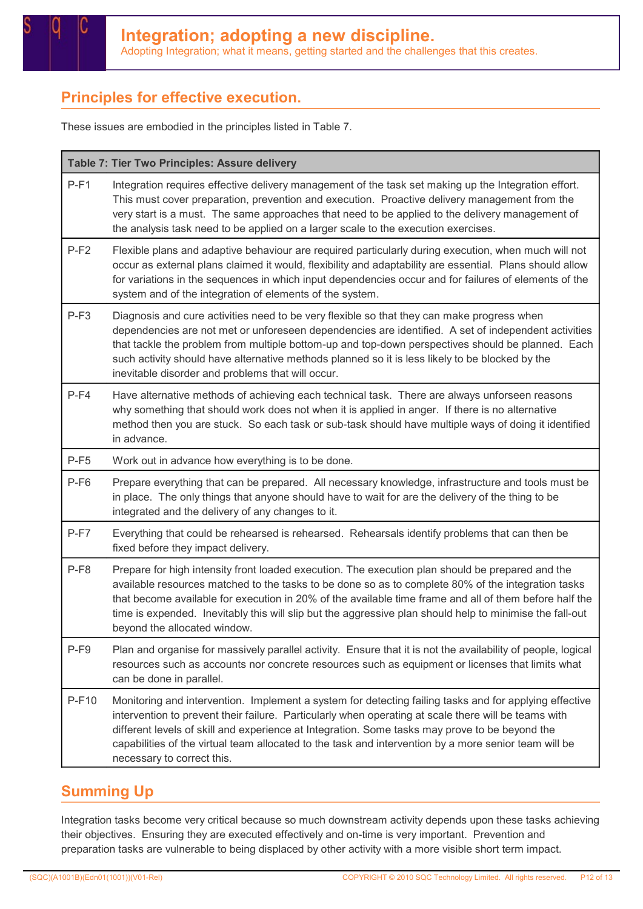### Principles for effective execution.

These issues are embodied in the principles listed in Table 7.

#### Table 7: Tier Two Principles: Assure delivery

| $P-F1$ | Integration requires effective delivery management of the task set making up the Integration effort.<br>This must cover preparation, prevention and execution. Proactive delivery management from the<br>very start is a must. The same approaches that need to be applied to the delivery management of<br>the analysis task need to be applied on a larger scale to the execution exercises.                                                                 |  |  |
|--------|----------------------------------------------------------------------------------------------------------------------------------------------------------------------------------------------------------------------------------------------------------------------------------------------------------------------------------------------------------------------------------------------------------------------------------------------------------------|--|--|
| $P-F2$ | Flexible plans and adaptive behaviour are required particularly during execution, when much will not<br>occur as external plans claimed it would, flexibility and adaptability are essential. Plans should allow<br>for variations in the sequences in which input dependencies occur and for failures of elements of the<br>system and of the integration of elements of the system.                                                                          |  |  |
| $P-F3$ | Diagnosis and cure activities need to be very flexible so that they can make progress when<br>dependencies are not met or unforeseen dependencies are identified. A set of independent activities<br>that tackle the problem from multiple bottom-up and top-down perspectives should be planned. Each<br>such activity should have alternative methods planned so it is less likely to be blocked by the<br>inevitable disorder and problems that will occur. |  |  |
| $P-F4$ | Have alternative methods of achieving each technical task. There are always unforseen reasons<br>why something that should work does not when it is applied in anger. If there is no alternative<br>method then you are stuck. So each task or sub-task should have multiple ways of doing it identified<br>in advance.                                                                                                                                        |  |  |
| $P-F5$ | Work out in advance how everything is to be done.                                                                                                                                                                                                                                                                                                                                                                                                              |  |  |
| $P-F6$ | Prepare everything that can be prepared. All necessary knowledge, infrastructure and tools must be<br>in place. The only things that anyone should have to wait for are the delivery of the thing to be<br>integrated and the delivery of any changes to it.                                                                                                                                                                                                   |  |  |
| $P-F7$ | Everything that could be rehearsed is rehearsed. Rehearsals identify problems that can then be<br>fixed before they impact delivery.                                                                                                                                                                                                                                                                                                                           |  |  |
| $P-F8$ | Prepare for high intensity front loaded execution. The execution plan should be prepared and the<br>available resources matched to the tasks to be done so as to complete 80% of the integration tasks<br>that become available for execution in 20% of the available time frame and all of them before half the<br>time is expended. Inevitably this will slip but the aggressive plan should help to minimise the fall-out<br>beyond the allocated window.   |  |  |
| $P-F9$ | Plan and organise for massively parallel activity. Ensure that it is not the availability of people, logical<br>resources such as accounts nor concrete resources such as equipment or licenses that limits what<br>can be done in parallel.                                                                                                                                                                                                                   |  |  |
| P-F10  | Monitoring and intervention. Implement a system for detecting failing tasks and for applying effective<br>intervention to prevent their failure. Particularly when operating at scale there will be teams with<br>different levels of skill and experience at Integration. Some tasks may prove to be beyond the<br>capabilities of the virtual team allocated to the task and intervention by a more senior team will be<br>necessary to correct this.        |  |  |

### Summing Up

Integration tasks become very critical because so much downstream activity depends upon these tasks achieving their objectives. Ensuring they are executed effectively and on-time is very important. Prevention and preparation tasks are vulnerable to being displaced by other activity with a more visible short term impact.